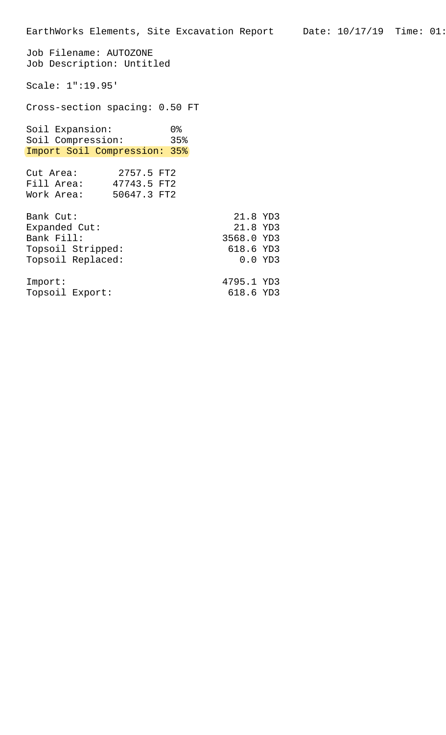Job Filename: AUTOZONE Job Description: Untitled Scale: 1":19.95' Cross-section spacing: 0.50 FT Soil Expansion: 0% Soil Compression: 35% Import Soil Compression: 35% Cut Area: 2757.5 FT2 Fill Area: 47743.5 FT2 Work Area: 50647.3 FT2 Bank Cut: 21.8 YD3 Expanded Cut: 21.8 YD3<br>Bank Fill: 2568.0 YD3 3568.0 YD3<br>618.6 YD3 Topsoil Stripped: Topsoil Replaced: 0.0 YD3 Import: 4795.1 YD3 Topsoil Export: 618.6 YD3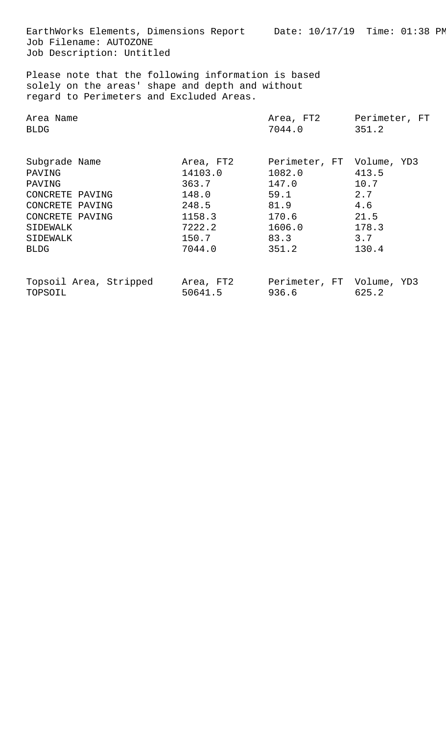EarthWorks Elements, Dimensions Report Date: 10/17/19 Time: 01:38 PM Job Filename: AUTOZONE Job Description: Untitled

Please note that the following information is based solely on the areas' shape and depth and without regard to Perimeters and Excluded Areas.

| Area Name                                                                                                                         |                                                                                        | Area, FT2                                                                                        | Perimeter, FT                                                |
|-----------------------------------------------------------------------------------------------------------------------------------|----------------------------------------------------------------------------------------|--------------------------------------------------------------------------------------------------|--------------------------------------------------------------|
| <b>BLDG</b>                                                                                                                       |                                                                                        | 7044.0                                                                                           | 351.2                                                        |
| Subgrade Name<br>PAVING<br>PAVING<br>CONCRETE PAVING<br>CONCRETE PAVING<br>CONCRETE PAVING<br>SIDEWALK<br>SIDEWALK<br><b>BLDG</b> | Area, FT2<br>14103.0<br>363.7<br>148.0<br>248.5<br>1158.3<br>7222.2<br>150.7<br>7044.0 | Perimeter, FT Volume, YD3<br>1082.0<br>147.0<br>59.1<br>81.9<br>170.6<br>1606.0<br>83.3<br>351.2 | 413.5<br>10.7<br>2.7<br>4.6<br>21.5<br>178.3<br>3.7<br>130.4 |
| Topsoil Area, Stripped                                                                                                            | Area, FT2                                                                              | Perimeter, FT Volume, YD3                                                                        | 625.2                                                        |
| TOPSOIL                                                                                                                           | 50641.5                                                                                | 936.6                                                                                            |                                                              |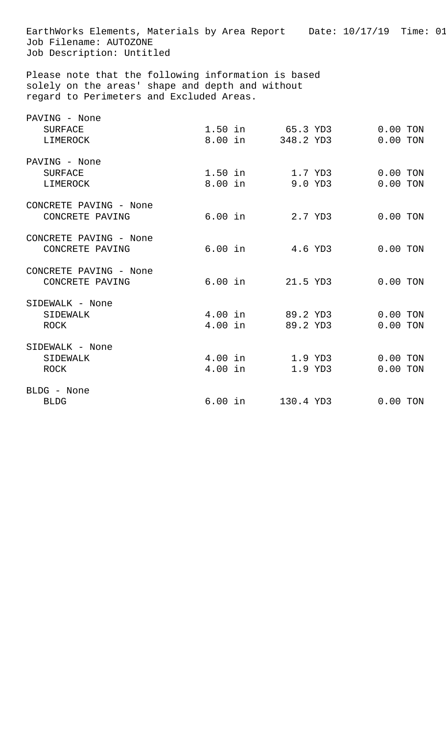EarthWorks Elements, Materials by Area Report Date: 10/17/19 Time: 01 Job Filename: AUTOZONE Job Description: Untitled Please note that the following information is based solely on the areas' shape and depth and without regard to Perimeters and Excluded Areas. PAVING - None SURFACE 1.50 in 65.3 YD3 0.00 TON LIMEROCK 8.00 in 348.2 YD3 0.00 TON PAVING - None SURFACE 1.50 in 1.7 YD3 0.00 TON LIMEROCK 8.00 in 9.0 YD3 0.00 TON CONCRETE PAVING - None CONCRETE PAVING 6.00 in 2.7 YD3 0.00 TON CONCRETE PAVING - None CONCRETE PAVING 6.00 in 4.6 YD3 0.00 TON CONCRETE PAVING - None CONCRETE PAVING 6.00 in 21.5 YD3 0.00 TON SIDEWALK - None SIDEWALK 1.00 in 89.2 YD3 0.00 TON ROCK 1.00 in 89.2 YD3 0.00 TON SIDEWALK - None SIDEWALK 4.00 in 1.9 YD3 0.00 TON ROCK 1.00 in 1.9 YD3 0.00 TON BLDG - None BLDG 6.00 in 130.4 YD3 0.00 TON